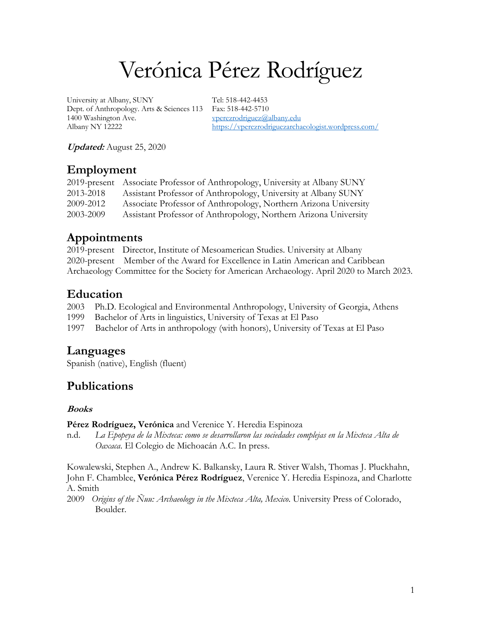# Verónica Pérez Rodríguez

University at Albany, SUNY Tel: 518-442-4453 Dept. of Anthropology. Arts & Sciences 113 Fax: 518-442-5710 1400 Washington Ave. Albany NY 12222

vperezrodriguez@albany.edu https://vperezrodriguezarchaeologist.wordpress.com/

**Updated:** August 25, 2020

# **Employment**

|           | 2019-present Associate Professor of Anthropology, University at Albany SUNY |
|-----------|-----------------------------------------------------------------------------|
| 2013-2018 | Assistant Professor of Anthropology, University at Albany SUNY              |
| 2009-2012 | Associate Professor of Anthropology, Northern Arizona University            |
| 2003-2009 | Assistant Professor of Anthropology, Northern Arizona University            |

# **Appointments**

2019-present Director, Institute of Mesoamerican Studies. University at Albany 2020-present Member of the Award for Excellence in Latin American and Caribbean Archaeology Committee for the Society for American Archaeology. April 2020 to March 2023.

# **Education**

2003 Ph.D. Ecological and Environmental Anthropology, University of Georgia, Athens

1999 Bachelor of Arts in linguistics, University of Texas at El Paso

1997 Bachelor of Arts in anthropology (with honors), University of Texas at El Paso

# **Languages**

Spanish (native), English (fluent)

# **Publications**

### **Books**

**Pérez Rodríguez, Verónica** and Verenice Y. Heredia Espinoza

n.d. *La Epopeya de la Mixteca: como se desarrollaron las sociedades complejas en la Mixteca Alta de Oaxaca*. El Colegio de Michoacán A.C. In press.

Kowalewski, Stephen A., Andrew K. Balkansky, Laura R. Stiver Walsh, Thomas J. Pluckhahn, John F. Chamblee, **Verónica Pérez Rodríguez**, Verenice Y. Heredia Espinoza, and Charlotte A. Smith

2009 *Origins of the Ñuu: Archaeology in the Mixteca Alta, Mexico*. University Press of Colorado, Boulder.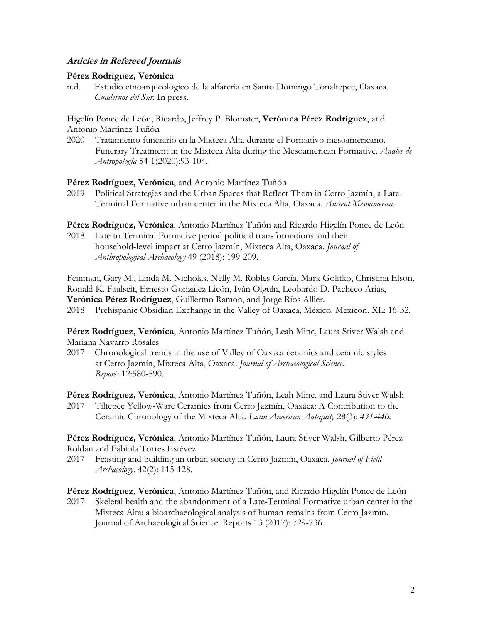#### **Articles in Refereed Journals**

#### **Pérez Rodríguez, Verónica**

n.d. Estudio etnoarqueológico de la alfarería en Santo Domingo Tonaltepec, Oaxaca. *Cuadernos del Sur*. In press.

Higelín Ponce de León, Ricardo, Jeffrey P. Blomster, **Verónica Pérez Rodríguez**, and Antonio Martínez Tuñón

2020 Tratamiento funerario en la Mixteca Alta durante el Formativo mesoamericano. Funerary Treatment in the Mixteca Alta during the Mesoamerican Formative. *Anales de Antropología* 54-1(2020):93-104.

#### **Pérez Rodríguez, Verónica**, and Antonio Martínez Tuñón

2019 Political Strategies and the Urban Spaces that Reflect Them in Cerro Jazmín, a Late-Terminal Formative urban center in the Mixteca Alta, Oaxaca. *Ancient Mesoamerica*.

**Pérez Rodríguez, Verónica**, Antonio Martínez Tuñón and Ricardo Higelín Ponce de León

2018 Late to Terminal Formative period political transformations and their household-level impact at Cerro Jazmín, Mixteca Alta, Oaxaca. *Journal of Anthropological Archaeology* 49 (2018): 199-209.

Feinman, Gary M., Linda M. Nicholas, Nelly M. Robles García, Mark Golitko, Christina Elson, Ronald K. Faulseit, Ernesto González Licón, Iván Olguín, Leobardo D. Pacheco Arias, **Verónica Pérez Rodríguez**, Guillermo Ramón, and Jorge Ríos Allier.

2018 Prehispanic Obsidian Exchange in the Valley of Oaxaca, México. Mexicon. XL: 16-32.

**Pérez Rodríguez, Verónica**, Antonio Martínez Tuñón, Leah Minc, Laura Stiver Walsh and Mariana Navarro Rosales

2017 Chronological trends in the use of Valley of Oaxaca ceramics and ceramic styles at Cerro Jazmín, Mixteca Alta, Oaxaca. *Journal of Archaeological Science: Reports* 12:580-590.

**Pérez Rodríguez, Verónica**, Antonio Martínez Tuñón, Leah Minc, and Laura Stiver Walsh

2017 Tiltepec Yellow-Ware Ceramics from Cerro Jazmín, Oaxaca: A Contribution to the Ceramic Chronology of the Mixteca Alta. *Latin American Antiquity* 28(3): *431-440.* 

**Pérez Rodríguez, Verónica**, Antonio Martínez Tuñón, Laura Stiver Walsh, Gilberto Pérez Roldán and Fabiola Torres Estévez

2017 Feasting and building an urban society in Cerro Jazmín, Oaxaca. *Journal of Field Archaeology*. 42(2): 115-128.

**Pérez Rodríguez, Verónica**, Antonio Martínez Tuñón, and Ricardo Higelín Ponce de León

2017 Skeletal health and the abandonment of a Late-Terminal Formative urban center in the Mixteca Alta: a bioarchaeological analysis of human remains from Cerro Jazmín. Journal of Archaeological Science: Reports 13 (2017): 729-736.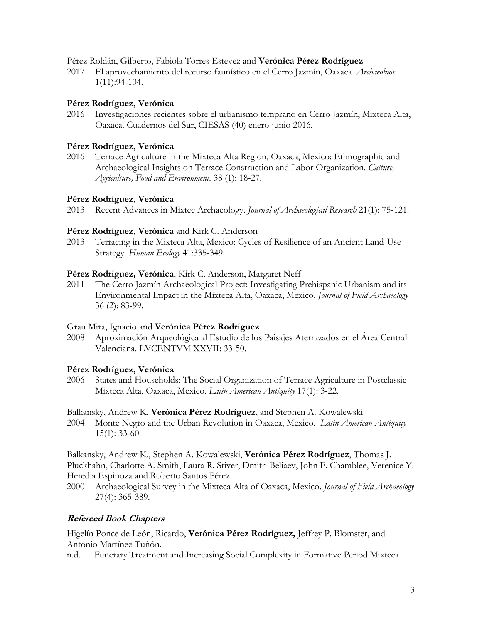Pérez Roldán, Gilberto, Fabiola Torres Estevez and **Verónica Pérez Rodríguez**

2017 El aprovechamiento del recurso faunístico en el Cerro Jazmín, Oaxaca. *Archaeobios* 1(11):94-104.

#### **Pérez Rodríguez, Verónica**

2016 Investigaciones recientes sobre el urbanismo temprano en Cerro Jazmín, Mixteca Alta, Oaxaca. Cuadernos del Sur, CIESAS (40) enero-junio 2016.

#### **Pérez Rodríguez, Verónica**

2016 Terrace Agriculture in the Mixteca Alta Region, Oaxaca, Mexico: Ethnographic and Archaeological Insights on Terrace Construction and Labor Organization. *Culture, Agriculture, Food and Environment*. 38 (1): 18-27.

#### **Pérez Rodríguez, Verónica**

2013 Recent Advances in Mixtec Archaeology. *Journal of Archaeological Research* 21(1): 75-121.

#### **Pérez Rodríguez, Verónica** and Kirk C. Anderson

2013 Terracing in the Mixteca Alta, Mexico: Cycles of Resilience of an Ancient Land-Use Strategy. *Human Ecology* 41:335-349.

#### **Pérez Rodríguez, Verónica**, Kirk C. Anderson, Margaret Neff

2011 The Cerro Jazmín Archaeological Project: Investigating Prehispanic Urbanism and its Environmental Impact in the Mixteca Alta, Oaxaca, Mexico. *Journal of Field Archaeology*  36 (2): 83-99.

#### Grau Mira, Ignacio and **Verónica Pérez Rodríguez**

2008 Aproximación Arqueológica al Estudio de los Paisajes Aterrazados en el Área Central Valenciana. LVCENTVM XXVII: 33-50.

#### **Pérez Rodríguez, Verónica**

2006 States and Households: The Social Organization of Terrace Agriculture in Postclassic Mixteca Alta, Oaxaca, Mexico. *Latin American Antiquity* 17(1): 3-22.

Balkansky, Andrew K, **Verónica Pérez Rodríguez**, and Stephen A. Kowalewski

2004 Monte Negro and the Urban Revolution in Oaxaca, Mexico. *Latin American Antiquity*  15(1): 33-60.

Balkansky, Andrew K., Stephen A. Kowalewski, **Verónica Pérez Rodríguez**, Thomas J. Pluckhahn, Charlotte A. Smith, Laura R. Stiver, Dmitri Beliaev, John F. Chamblee, Verenice Y. Heredia Espinoza and Roberto Santos Pérez.

2000 Archaeological Survey in the Mixteca Alta of Oaxaca, Mexico. *Journal of Field Archaeology* 27(4): 365-389.

#### **Refereed Book Chapters**

Higelín Ponce de León, Ricardo, **Verónica Pérez Rodríguez,** Jeffrey P. Blomster, and Antonio Martínez Tuñón.

n.d. Funerary Treatment and Increasing Social Complexity in Formative Period Mixteca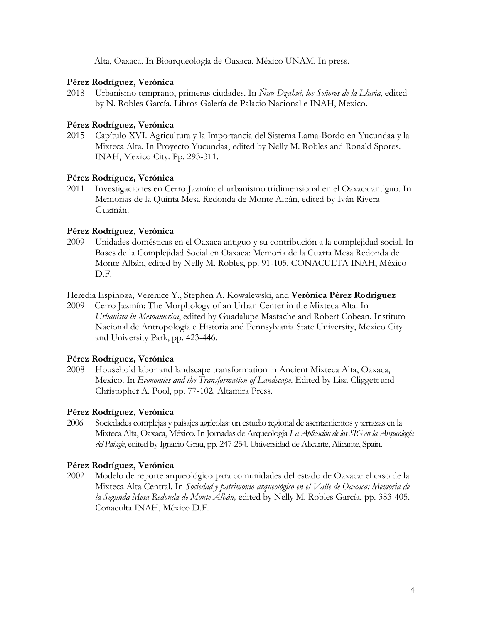Alta, Oaxaca. In Bioarqueología de Oaxaca. México UNAM. In press.

#### **Pérez Rodríguez, Verónica**

2018 Urbanismo temprano, primeras ciudades*.* In *Ñuu Dzahui, los Señores de la Lluvia*, edited by N. Robles García. Libros Galería de Palacio Nacional e INAH, Mexico.

#### **Pérez Rodríguez, Verónica**

2015 Capítulo XVI. Agricultura y la Importancia del Sistema Lama-Bordo en Yucundaa y la Mixteca Alta. In Proyecto Yucundaa, edited by Nelly M. Robles and Ronald Spores. INAH, Mexico City. Pp. 293-311.

#### **Pérez Rodríguez, Verónica**

2011 Investigaciones en Cerro Jazmín: el urbanismo tridimensional en el Oaxaca antiguo. In Memorias de la Quinta Mesa Redonda de Monte Albán, edited by Iván Rivera Guzmán.

#### **Pérez Rodríguez, Verónica**

2009 Unidades domésticas en el Oaxaca antiguo y su contribución a la complejidad social. In Bases de la Complejidad Social en Oaxaca: Memoria de la Cuarta Mesa Redonda de Monte Albán, edited by Nelly M. Robles, pp. 91-105. CONACULTA INAH, México D.F.

Heredia Espinoza, Verenice Y., Stephen A. Kowalewski, and **Verónica Pérez Rodríguez**

2009 Cerro Jazmín: The Morphology of an Urban Center in the Mixteca Alta. In *Urbanism in Mesoamerica*, edited by Guadalupe Mastache and Robert Cobean. Instituto Nacional de Antropología e Historia and Pennsylvania State University, Mexico City and University Park, pp. 423-446.

#### **Pérez Rodríguez, Verónica**

2008 Household labor and landscape transformation in Ancient Mixteca Alta, Oaxaca, Mexico. In *Economies and the Transformation of Landscape*. Edited by Lisa Cliggett and Christopher A. Pool, pp. 77-102. Altamira Press.

#### **Pérez Rodríguez, Verónica**

2006 Sociedades complejas y paisajes agrícolas: un estudio regional de asentamientos y terrazas en la Mixteca Alta, Oaxaca, México. In Jornadas de Arqueología *La Aplicación de los SIG en la Arqueología del Paisaje*, edited by Ignacio Grau, pp. 247-254. Universidad de Alicante, Alicante, Spain.

#### **Pérez Rodríguez, Verónica**

2002 Modelo de reporte arqueológico para comunidades del estado de Oaxaca: el caso de la Mixteca Alta Central. In *Sociedad y patrimonio arqueológico en el Valle de Oaxaca: Memoria de la Segunda Mesa Redonda de Monte Albán,* edited by Nelly M. Robles García, pp. 383-405. Conaculta INAH, México D.F.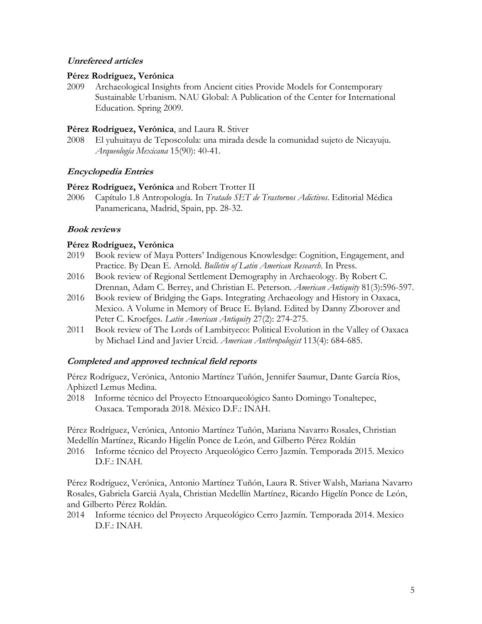#### **Unrefereed articles**

#### **Pérez Rodríguez, Verónica**

2009 Archaeological Insights from Ancient cities Provide Models for Contemporary Sustainable Urbanism. NAU Global: A Publication of the Center for International Education. Spring 2009.

#### Pérez Rodríguez, Verónica, and Laura R. Stiver

2008 El yuhuitayu de Teposcolula: una mirada desde la comunidad sujeto de Nicayuju. *Arqueología Mexicana* 15(90): 40-41.

#### **Encyclopedia Entries**

#### **Pérez Rodríguez, Verónica** and Robert Trotter II

2006 Capítulo 1.8 Antropología. In *Tratado SET de Trastornos Adictivos*. Editorial Médica Panamericana, Madrid, Spain, pp. 28-32.

#### **Book reviews**

#### **Pérez Rodríguez, Verónica**

- 2019 Book review of Maya Potters' Indigenous Knowlesdge: Cognition, Engagement, and Practice. By Dean E. Arnold. *Bulletin of Latin American Research*. In Press.
- 2016 Book review of Regional Settlement Demography in Archaeology. By Robert C. Drennan, Adam C. Berrey, and Christian E. Peterson. *American Antiquity* 81(3):596-597.
- 2016 Book review of Bridging the Gaps. Integrating Archaeology and History in Oaxaca, Mexico. A Volume in Memory of Bruce E. Byland. Edited by Danny Zborover and Peter C. Kroefges. *Latin American Antiquity* 27(2): 274-275.
- 2011 Book review of The Lords of Lambityeco: Political Evolution in the Valley of Oaxaca by Michael Lind and Javier Urcid. *American Anthropologist* 113(4): 684-685.

#### **Completed and approved technical field reports**

Pérez Rodríguez, Verónica, Antonio Martínez Tuñón, Jennifer Saumur, Dante García Ríos, Aphizetl Lemus Medina.

2018 Informe técnico del Proyecto Etnoarqueológico Santo Domingo Tonaltepec, Oaxaca. Temporada 2018. México D.F.: INAH.

Pérez Rodríguez, Verónica, Antonio Martínez Tuñón, Mariana Navarro Rosales, Christian Medellín Martínez, Ricardo Higelín Ponce de León, and Gilberto Pérez Roldán

2016 Informe técnico del Proyecto Arqueológico Cerro Jazmín. Temporada 2015. Mexico D.F.: INAH.

Pérez Rodríguez, Verónica, Antonio Martínez Tuñón, Laura R. Stiver Walsh, Mariana Navarro Rosales, Gabriela Garciá Ayala, Christian Medellín Martínez, Ricardo Higelín Ponce de León, and Gilberto Pérez Roldán.

2014 Informe técnico del Proyecto Arqueológico Cerro Jazmín. Temporada 2014. Mexico D.F.: INAH.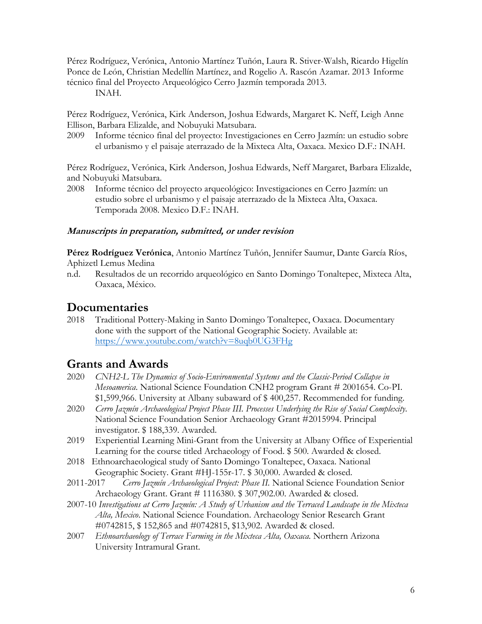Pérez Rodríguez, Verónica, Antonio Martínez Tuñón, Laura R. Stiver-Walsh, Ricardo Higelín Ponce de León, Christian Medellín Martínez, and Rogelio A. Rascón Azamar. 2013 Informe técnico final del Proyecto Arqueológico Cerro Jazmín temporada 2013.

INAH.

Pérez Rodríguez, Verónica, Kirk Anderson, Joshua Edwards, Margaret K. Neff, Leigh Anne Ellison, Barbara Elizalde, and Nobuyuki Matsubara.

2009 Informe técnico final del proyecto: Investigaciones en Cerro Jazmín: un estudio sobre el urbanismo y el paisaje aterrazado de la Mixteca Alta, Oaxaca. Mexico D.F.: INAH.

Pérez Rodríguez, Verónica, Kirk Anderson, Joshua Edwards, Neff Margaret, Barbara Elizalde, and Nobuyuki Matsubara.

2008 Informe técnico del proyecto arqueológico: Investigaciones en Cerro Jazmín: un estudio sobre el urbanismo y el paisaje aterrazado de la Mixteca Alta, Oaxaca. Temporada 2008. Mexico D.F.: INAH.

#### **Manuscripts in preparation, submitted, or under revision**

**Pérez Rodríguez Verónica**, Antonio Martínez Tuñón, Jennifer Saumur, Dante García Ríos, Aphizetl Lemus Medina

n.d. Resultados de un recorrido arqueológico en Santo Domingo Tonaltepec, Mixteca Alta, Oaxaca, México.

### **Documentaries**

2018 Traditional Pottery-Making in Santo Domingo Tonaltepec, Oaxaca. Documentary done with the support of the National Geographic Society. Available at: https://www.youtube.com/watch?v=8uqb0UG3FHg

### **Grants and Awards**

- 2020 *CNH2-L The Dynamics of Socio-Environmental Systems and the Classic-Period Collapse in Mesoamerica*. National Science Foundation CNH2 program Grant # 2001654. Co-PI. \$1,599,966. University at Albany subaward of \$ 400,257. Recommended for funding.
- 2020 *Cerro Jazmín Archaeological Project Phase III. Processes Underlying the Rise of Social Complexity*. National Science Foundation Senior Archaeology Grant #2015994. Principal investigator. \$ 188,339. Awarded.
- 2019 Experiential Learning Mini-Grant from the University at Albany Office of Experiential Learning for the course titled Archaeology of Food. \$ 500. Awarded & closed.
- 2018 Ethnoarchaeological study of Santo Domingo Tonaltepec, Oaxaca. National Geographic Society. Grant #HJ-155r-17. \$ 30,000. Awarded & closed.
- 2011-2017 *Cerro Jazmín Archaeological Project: Phase II.* National Science Foundation Senior Archaeology Grant. Grant # 1116380. \$ 307,902.00. Awarded & closed.
- 2007-10 *Investigations at Cerro Jazmín: A Study of Urbanism and the Terraced Landscape in the Mixteca Alta, Mexico*. National Science Foundation. Archaeology Senior Research Grant #0742815, \$ 152,865 and #0742815, \$13,902. Awarded & closed.
- 2007 *Ethnoarchaeology of Terrace Farming in the Mixteca Alta, Oaxaca.* Northern Arizona University Intramural Grant.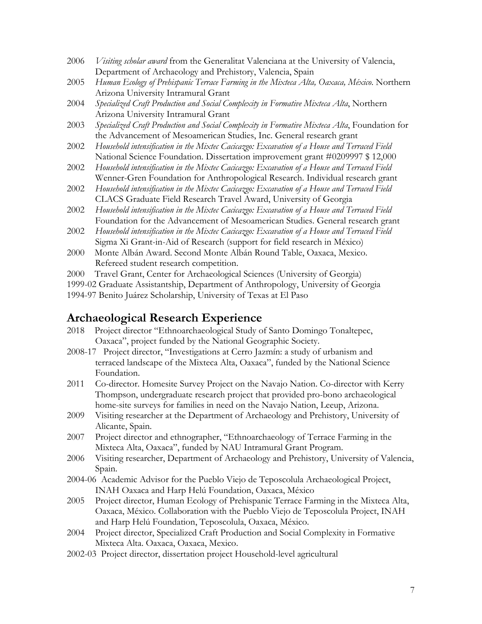- 2006 *Visiting scholar award* from the Generalitat Valenciana at the University of Valencia, Department of Archaeology and Prehistory, Valencia, Spain
- 2005 *Human Ecology of Prehispanic Terrace Farming in the Mixteca Alta, Oaxaca, México*. Northern Arizona University Intramural Grant
- 2004 *Specialized Craft Production and Social Complexity in Formative Mixteca Alta*, Northern Arizona University Intramural Grant
- 2003 *Specialized Craft Production and Social Complexity in Formative Mixteca Alta*, Foundation for the Advancement of Mesoamerican Studies, Inc. General research grant
- 2002 *Household intensification in the Mixtec Cacicazgo: Excavation of a House and Terraced Field*  National Science Foundation. Dissertation improvement grant #0209997 \$ 12,000
- 2002 *Household intensification in the Mixtec Cacicazgo: Excavation of a House and Terraced Field*  Wenner-Gren Foundation for Anthropological Research. Individual research grant
- 2002 *Household intensification in the Mixtec Cacicazgo: Excavation of a House and Terraced Field*  CLACS Graduate Field Research Travel Award, University of Georgia
- 2002 *Household intensification in the Mixtec Cacicazgo: Excavation of a House and Terraced Field*  Foundation for the Advancement of Mesoamerican Studies. General research grant
- 2002 *Household intensification in the Mixtec Cacicazgo: Excavation of a House and Terraced Field*  Sigma Xi Grant-in-Aid of Research (support for field research in México)
- 2000 Monte Albán Award. Second Monte Albán Round Table, Oaxaca, Mexico. Refereed student research competition.
- 2000 Travel Grant, Center for Archaeological Sciences (University of Georgia)
- 1999-02 Graduate Assistantship, Department of Anthropology, University of Georgia

1994-97 Benito Juárez Scholarship, University of Texas at El Paso

### **Archaeological Research Experience**

- 2018 Project director "Ethnoarchaeological Study of Santo Domingo Tonaltepec, Oaxaca", project funded by the National Geographic Society.
- 2008-17 Project director, "Investigations at Cerro Jazmín: a study of urbanism and terraced landscape of the Mixteca Alta, Oaxaca", funded by the National Science Foundation.
- 2011 Co-director. Homesite Survey Project on the Navajo Nation. Co-director with Kerry Thompson, undergraduate research project that provided pro-bono archaeological home-site surveys for families in need on the Navajo Nation, Leeup, Arizona.
- 2009 Visiting researcher at the Department of Archaeology and Prehistory, University of Alicante, Spain.
- 2007 Project director and ethnographer, "Ethnoarchaeology of Terrace Farming in the Mixteca Alta, Oaxaca", funded by NAU Intramural Grant Program.
- 2006 Visiting researcher, Department of Archaeology and Prehistory, University of Valencia, Spain.
- 2004-06 Academic Advisor for the Pueblo Viejo de Teposcolula Archaeological Project, INAH Oaxaca and Harp Helú Foundation, Oaxaca, México
- 2005 Project director, Human Ecology of Prehispanic Terrace Farming in the Mixteca Alta, Oaxaca, México. Collaboration with the Pueblo Viejo de Teposcolula Project, INAH and Harp Helú Foundation, Teposcolula, Oaxaca, México.
- 2004 Project director, Specialized Craft Production and Social Complexity in Formative Mixteca Alta. Oaxaca, Oaxaca, Mexico.
- 2002-03 Project director, dissertation project Household-level agricultural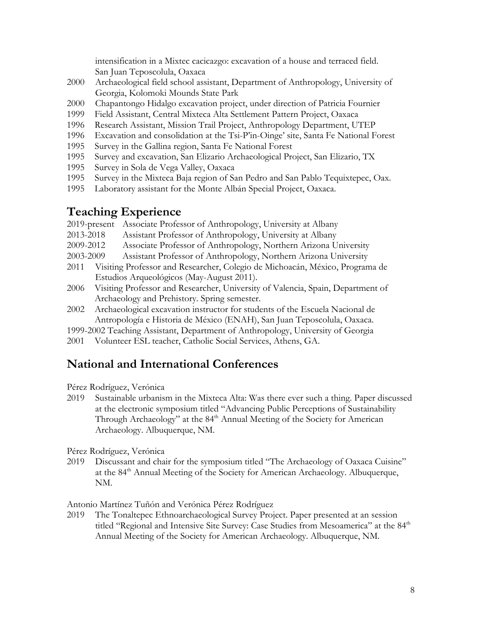intensification in a Mixtec cacicazgo: excavation of a house and terraced field. San Juan Teposcolula, Oaxaca

- 2000 Archaeological field school assistant, Department of Anthropology, University of Georgia, Kolomoki Mounds State Park
- 2000 Chapantongo Hidalgo excavation project, under direction of Patricia Fournier
- 1999 Field Assistant, Central Mixteca Alta Settlement Pattern Project, Oaxaca
- 1996 Research Assistant, Mission Trail Project, Anthropology Department, UTEP
- 1996 Excavation and consolidation at the Tsi-P'in-Oinge' site, Santa Fe National Forest
- 1995 Survey in the Gallina region, Santa Fe National Forest
- 1995 Survey and excavation, San Elizario Archaeological Project, San Elizario, TX
- 1995 Survey in Sola de Vega Valley, Oaxaca
- 1995 Survey in the Mixteca Baja region of San Pedro and San Pablo Tequixtepec, Oax.
- 1995 Laboratory assistant for the Monte Albán Special Project, Oaxaca.

# **Teaching Experience**

- 2019-present Associate Professor of Anthropology, University at Albany
- 2013-2018 Assistant Professor of Anthropology, University at Albany
- 2009-2012 Associate Professor of Anthropology, Northern Arizona University
- 2003-2009 Assistant Professor of Anthropology, Northern Arizona University
- 2011 Visiting Professor and Researcher, Colegio de Michoacán, México, Programa de Estudios Arqueológicos (May-August 2011).
- 2006 Visiting Professor and Researcher, University of Valencia, Spain, Department of Archaeology and Prehistory. Spring semester.
- 2002 Archaeological excavation instructor for students of the Escuela Nacional de Antropología e Historia de México (ENAH), San Juan Teposcolula, Oaxaca.
- 1999-2002 Teaching Assistant, Department of Anthropology, University of Georgia
- 2001 Volunteer ESL teacher, Catholic Social Services, Athens, GA.

# **National and International Conferences**

Pérez Rodríguez, Verónica

2019 Sustainable urbanism in the Mixteca Alta: Was there ever such a thing. Paper discussed at the electronic symposium titled "Advancing Public Perceptions of Sustainability Through Archaeology" at the 84<sup>th</sup> Annual Meeting of the Society for American Archaeology. Albuquerque, NM.

Pérez Rodríguez, Verónica

2019 Discussant and chair for the symposium titled "The Archaeology of Oaxaca Cuisine" at the 84th Annual Meeting of the Society for American Archaeology. Albuquerque, NM.

#### Antonio Martínez Tuñón and Verónica Pérez Rodríguez

2019 The Tonaltepec Ethnoarchaeological Survey Project. Paper presented at an session titled "Regional and Intensive Site Survey: Case Studies from Mesoamerica" at the 84<sup>th</sup> Annual Meeting of the Society for American Archaeology. Albuquerque, NM.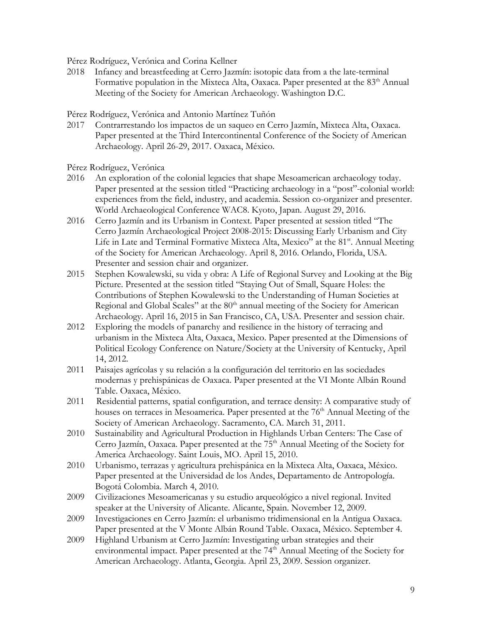Pérez Rodríguez, Verónica and Corina Kellner

2018 Infancy and breastfeeding at Cerro Jazmín: isotopic data from a the late-terminal Formative population in the Mixteca Alta, Oaxaca. Paper presented at the 83<sup>th</sup> Annual Meeting of the Society for American Archaeology. Washington D.C.

Pérez Rodríguez, Verónica and Antonio Martínez Tuñón

2017 Contrarrestando los impactos de un saqueo en Cerro Jazmín, Mixteca Alta, Oaxaca. Paper presented at the Third Intercontinental Conference of the Society of American Archaeology. April 26-29, 2017. Oaxaca, México.

Pérez Rodríguez, Verónica

- 2016 An exploration of the colonial legacies that shape Mesoamerican archaeology today. Paper presented at the session titled "Practicing archaeology in a "post"-colonial world: experiences from the field, industry, and academia. Session co-organizer and presenter. World Archaeological Conference WAC8. Kyoto, Japan. August 29, 2016.
- 2016 Cerro Jazmín and its Urbanism in Context. Paper presented at session titled "The Cerro Jazmín Archaeological Project 2008-2015: Discussing Early Urbanism and City Life in Late and Terminal Formative Mixteca Alta, Mexico" at the 81<sup>st</sup>. Annual Meeting of the Society for American Archaeology. April 8, 2016. Orlando, Florida, USA. Presenter and session chair and organizer.
- 2015 Stephen Kowalewski, su vida y obra: A Life of Regional Survey and Looking at the Big Picture. Presented at the session titled "Staying Out of Small, Square Holes: the Contributions of Stephen Kowalewski to the Understanding of Human Societies at Regional and Global Scales" at the 80<sup>th</sup> annual meeting of the Society for American Archaeology. April 16, 2015 in San Francisco, CA, USA. Presenter and session chair.
- 2012 Exploring the models of panarchy and resilience in the history of terracing and urbanism in the Mixteca Alta, Oaxaca, Mexico. Paper presented at the Dimensions of Political Ecology Conference on Nature/Society at the University of Kentucky, April 14, 2012.
- 2011 Paisajes agrícolas y su relación a la configuración del territorio en las sociedades modernas y prehispánicas de Oaxaca. Paper presented at the VI Monte Albán Round Table. Oaxaca, México.
- 2011 Residential patterns, spatial configuration, and terrace density: A comparative study of houses on terraces in Mesoamerica. Paper presented at the 76<sup>th</sup> Annual Meeting of the Society of American Archaeology. Sacramento, CA. March 31, 2011.
- 2010 Sustainability and Agricultural Production in Highlands Urban Centers: The Case of Cerro Jazmín, Oaxaca. Paper presented at the  $75<sup>th</sup>$  Annual Meeting of the Society for America Archaeology. Saint Louis, MO. April 15, 2010.
- 2010 Urbanismo, terrazas y agricultura prehispánica en la Mixteca Alta, Oaxaca, México. Paper presented at the Universidad de los Andes, Departamento de Antropología. Bogotá Colombia. March 4, 2010.
- 2009 Civilizaciones Mesoamericanas y su estudio arqueológico a nivel regional. Invited speaker at the University of Alicante. Alicante, Spain. November 12, 2009.
- 2009 Investigaciones en Cerro Jazmín: el urbanismo tridimensional en la Antigua Oaxaca. Paper presented at the V Monte Albán Round Table. Oaxaca, México. September 4.
- 2009 Highland Urbanism at Cerro Jazmín: Investigating urban strategies and their environmental impact. Paper presented at the  $74<sup>th</sup>$  Annual Meeting of the Society for American Archaeology. Atlanta, Georgia. April 23, 2009. Session organizer.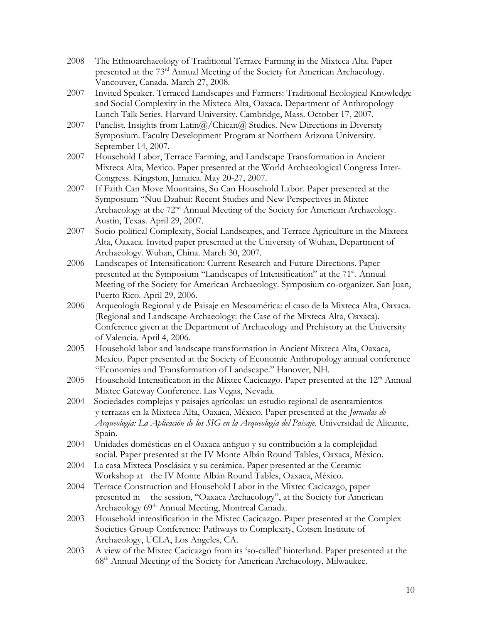- 2008 The Ethnoarchaeology of Traditional Terrace Farming in the Mixteca Alta. Paper presented at the 73rd Annual Meeting of the Society for American Archaeology. Vancouver, Canada. March 27, 2008.
- 2007 Invited Speaker. Terraced Landscapes and Farmers: Traditional Ecological Knowledge and Social Complexity in the Mixteca Alta, Oaxaca. Department of Anthropology Lunch Talk Series. Harvard University. Cambridge, Mass. October 17, 2007.
- 2007 Panelist. Insights from Latin@/Chican@ Studies. New Directions in Diversity Symposium. Faculty Development Program at Northern Arizona University. September 14, 2007.
- 2007 Household Labor, Terrace Farming, and Landscape Transformation in Ancient Mixteca Alta, Mexico. Paper presented at the World Archaeological Congress Inter-Congress. Kingston, Jamaica. May 20-27, 2007.
- 2007 If Faith Can Move Mountains, So Can Household Labor. Paper presented at the Symposium "Ñuu Dzahui: Recent Studies and New Perspectives in Mixtec Archaeology at the 72<sup>nd</sup> Annual Meeting of the Society for American Archaeology. Austin, Texas. April 29, 2007.
- 2007 Socio-political Complexity, Social Landscapes, and Terrace Agriculture in the Mixteca Alta, Oaxaca. Invited paper presented at the University of Wuhan, Department of Archaeology. Wuhan, China. March 30, 2007.
- 2006 Landscapes of Intensification: Current Research and Future Directions. Paper presented at the Symposium "Landscapes of Intensification" at the 71<sup>st</sup>. Annual Meeting of the Society for American Archaeology. Symposium co-organizer. San Juan, Puerto Rico. April 29, 2006.
- 2006 Arqueología Regional y de Paisaje en Mesoamérica: el caso de la Mixteca Alta, Oaxaca. (Regional and Landscape Archaeology: the Case of the Mixteca Alta, Oaxaca). Conference given at the Department of Archaeology and Prehistory at the University of Valencia. April 4, 2006.
- 2005 Household labor and landscape transformation in Ancient Mixteca Alta, Oaxaca, Mexico. Paper presented at the Society of Economic Anthropology annual conference "Economies and Transformation of Landscape." Hanover, NH.
- 2005 Household Intensification in the Mixtec Cacicazgo. Paper presented at the  $12<sup>th</sup>$  Annual Mixtec Gateway Conference. Las Vegas, Nevada.
- 2004 Sociedades complejas y paisajes agrícolas: un estudio regional de asentamientos y terrazas en la Mixteca Alta, Oaxaca, México. Paper presented at the *Jornadas de Arqueología: La Aplicación de los SIG en la Arqueología del Paisaje.* Universidad de Alicante, Spain.
- 2004 Unidades domésticas en el Oaxaca antiguo y su contribución a la complejidad social. Paper presented at the IV Monte Albán Round Tables, Oaxaca, México.
- 2004 La casa Mixteca Posclásica y su cerámica. Paper presented at the Ceramic Workshop at the IV Monte Albán Round Tables, Oaxaca, México.
- 2004 Terrace Construction and Household Labor in the Mixtec Cacicazgo, paper presented in the session, "Oaxaca Archaeology", at the Society for American Archaeology 69<sup>th</sup> Annual Meeting, Montreal Canada.
- 2003 Household intensification in the Mixtec Cacicazgo. Paper presented at the Complex Societies Group Conference: Pathways to Complexity, Cotsen Institute of Archaeology, UCLA, Los Angeles, CA.
- 2003 A view of the Mixtec Cacicazgo from its 'so-called' hinterland. Paper presented at the 68th Annual Meeting of the Society for American Archaeology, Milwaukee.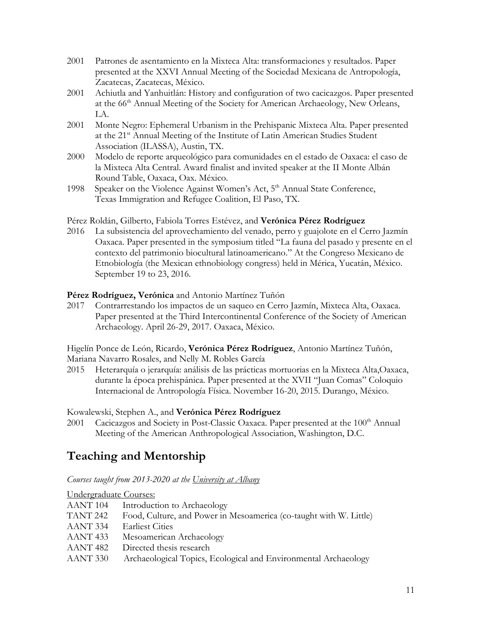- 2001 Patrones de asentamiento en la Mixteca Alta: transformaciones y resultados. Paper presented at the XXVI Annual Meeting of the Sociedad Mexicana de Antropología, Zacatecas, Zacatecas, México.
- 2001 Achiutla and Yanhuitlán: History and configuration of two cacicazgos. Paper presented at the 66<sup>th</sup> Annual Meeting of the Society for American Archaeology, New Orleans, LA.
- 2001 Monte Negro: Ephemeral Urbanism in the Prehispanic Mixteca Alta. Paper presented at the 21<sup>st</sup> Annual Meeting of the Institute of Latin American Studies Student Association (ILASSA), Austin, TX.
- 2000 Modelo de reporte arqueológico para comunidades en el estado de Oaxaca: el caso de la Mixteca Alta Central. Award finalist and invited speaker at the II Monte Albán Round Table, Oaxaca, Oax. México.
- 1998 Speaker on the Violence Against Women's Act, 5<sup>th</sup> Annual State Conference, Texas Immigration and Refugee Coalition, El Paso, TX.
- Pérez Roldán, Gilberto, Fabiola Torres Estévez, and **Verónica Pérez Rodríguez**
- 2016 La subsistencia del aprovechamiento del venado, perro y guajolote en el Cerro Jazmín Oaxaca. Paper presented in the symposium titled "La fauna del pasado y presente en el contexto del patrimonio biocultural latinoamericano." At the Congreso Mexicano de Etnobiología (the Mexican ethnobiology congress) held in Mérica, Yucatán, México. September 19 to 23, 2016.

#### **Pérez Rodríguez, Verónica** and Antonio Martínez Tuñón

2017 Contrarrestando los impactos de un saqueo en Cerro Jazmín, Mixteca Alta, Oaxaca. Paper presented at the Third Intercontinental Conference of the Society of American Archaeology. April 26-29, 2017. Oaxaca, México.

Higelín Ponce de León, Ricardo, **Verónica Pérez Rodríguez**, Antonio Martínez Tuñón, Mariana Navarro Rosales, and Nelly M. Robles García

2015 Heterarquía o jerarquía: análisis de las prácticas mortuorias en la Mixteca Alta,Oaxaca, durante la época prehispánica. Paper presented at the XVII "Juan Comas" Coloquio Internacional de Antropología Física. November 16-20, 2015. Durango, México.

Kowalewski, Stephen A., and **Verónica Pérez Rodríguez**

2001 Cacicazgos and Society in Post-Classic Oaxaca. Paper presented at the  $100<sup>th</sup>$  Annual Meeting of the American Anthropological Association, Washington, D.C.

# **Teaching and Mentorship**

*Courses taught from 2013-2020 at the University at Albany*

Undergraduate Courses:

| <b>AANT 104</b> | Introduction to Archaeology                                        |
|-----------------|--------------------------------------------------------------------|
| TANT 242        |                                                                    |
|                 | Food, Culture, and Power in Mesoamerica (co-taught with W. Little) |
| AANT 334        | <b>Earliest Cities</b>                                             |
| AANT 433        | Mesoamerican Archaeology                                           |
| AANT 482        | Directed thesis research                                           |
| AANT 330        | Archaeological Topics, Ecological and Environmental Archaeology    |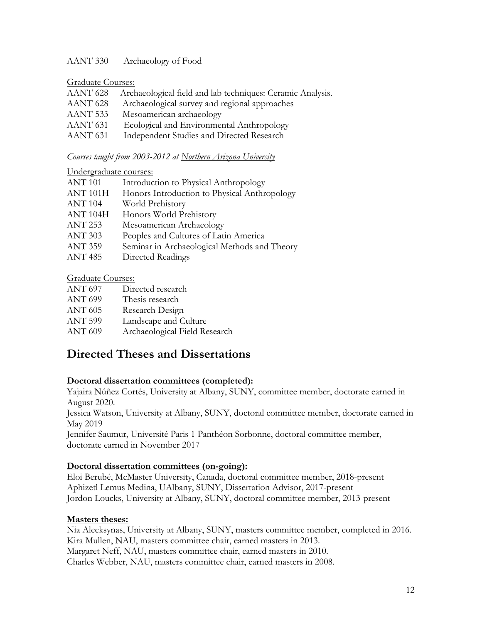#### AANT 330 Archaeology of Food

#### Graduate Courses:

| AANT 628            | Archaeological field and lab techniques: Ceramic Analysis. |
|---------------------|------------------------------------------------------------|
| AANT 628            | Archaeological survey and regional approaches              |
| AANT 533            | Mesoamerican archaeology                                   |
| AANT <sub>631</sub> | Ecological and Environmental Anthropology                  |
| AANT <sub>631</sub> | Independent Studies and Directed Research                  |
|                     |                                                            |

#### *Courses taught from 2003-2012 at Northern Arizona University*

#### Undergraduate courses:

| <b>ANT 101</b> | Introduction to Physical Anthropology        |
|----------------|----------------------------------------------|
| ANT 101H       | Honors Introduction to Physical Anthropology |
| <b>ANT 104</b> | World Prehistory                             |
| ANT 104H       | Honors World Prehistory                      |
| <b>ANT 253</b> | Mesoamerican Archaeology                     |
| <b>ANT 303</b> | Peoples and Cultures of Latin America        |

- ANT 359 Seminar in Archaeological Methods and Theory
- ANT 485 Directed Readings

#### Graduate Courses:

- ANT 699 Thesis research
- ANT 605 Research Design
- ANT 599 Landscape and Culture
- ANT 609 Archaeological Field Research

### **Directed Theses and Dissertations**

#### **Doctoral dissertation committees (completed):**

Yajaira Núñez Cortés, University at Albany, SUNY, committee member, doctorate earned in August 2020.

Jessica Watson, University at Albany, SUNY, doctoral committee member, doctorate earned in May 2019

Jennifer Saumur, Université Paris 1 Panthéon Sorbonne, doctoral committee member, doctorate earned in November 2017

#### **Doctoral dissertation committees (on-going):**

Eloi Berubé, McMaster University, Canada, doctoral committee member, 2018-present Aphizetl Lemus Medina, UAlbany, SUNY, Dissertation Advisor, 2017-present Jordon Loucks, University at Albany, SUNY, doctoral committee member, 2013-present

#### **Masters theses:**

Nia Alecksynas, University at Albany, SUNY, masters committee member, completed in 2016. Kira Mullen, NAU, masters committee chair, earned masters in 2013. Margaret Neff, NAU, masters committee chair, earned masters in 2010. Charles Webber, NAU, masters committee chair, earned masters in 2008.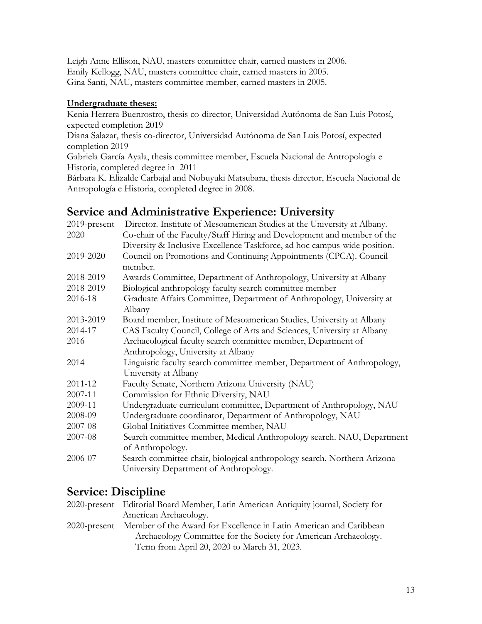Leigh Anne Ellison, NAU, masters committee chair, earned masters in 2006. Emily Kellogg, NAU, masters committee chair, earned masters in 2005. Gina Santi, NAU, masters committee member, earned masters in 2005.

#### **Undergraduate theses:**

Kenia Herrera Buenrostro, thesis co-director, Universidad Autónoma de San Luis Potosí, expected completion 2019

Diana Salazar, thesis co-director, Universidad Autónoma de San Luis Potosí, expected completion 2019

Gabriela García Ayala, thesis committee member, Escuela Nacional de Antropología e Historia, completed degree in 2011

Bárbara K. Elizalde Carbajal and Nobuyuki Matsubara, thesis director, Escuela Nacional de Antropología e Historia, completed degree in 2008.

### **Service and Administrative Experience: University**

| 2019-present | Director. Institute of Mesoamerican Studies at the University at Albany.                  |
|--------------|-------------------------------------------------------------------------------------------|
| 2020         | Co-chair of the Faculty/Staff Hiring and Development and member of the                    |
|              | Diversity & Inclusive Excellence Taskforce, ad hoc campus-wide position.                  |
| 2019-2020    | Council on Promotions and Continuing Appointments (CPCA). Council                         |
|              | member.                                                                                   |
| 2018-2019    | Awards Committee, Department of Anthropology, University at Albany                        |
| 2018-2019    | Biological anthropology faculty search committee member                                   |
| 2016-18      | Graduate Affairs Committee, Department of Anthropology, University at<br>Albany           |
| 2013-2019    | Board member, Institute of Mesoamerican Studies, University at Albany                     |
| 2014-17      | CAS Faculty Council, College of Arts and Sciences, University at Albany                   |
| 2016         | Archaeological faculty search committee member, Department of                             |
|              | Anthropology, University at Albany                                                        |
| 2014         | Linguistic faculty search committee member, Department of Anthropology,                   |
|              | University at Albany                                                                      |
| 2011-12      | Faculty Senate, Northern Arizona University (NAU)                                         |
| 2007-11      | Commission for Ethnic Diversity, NAU                                                      |
| 2009-11      | Undergraduate curriculum committee, Department of Anthropology, NAU                       |
| 2008-09      | Undergraduate coordinator, Department of Anthropology, NAU                                |
| 2007-08      | Global Initiatives Committee member, NAU                                                  |
| 2007-08      | Search committee member, Medical Anthropology search. NAU, Department<br>of Anthropology. |
| 2006-07      | Search committee chair, biological anthropology search. Northern Arizona                  |
|              | University Department of Anthropology.                                                    |

### **Service: Discipline**

2020-present Editorial Board Member, Latin American Antiquity journal, Society for American Archaeology. 2020-present Member of the Award for Excellence in Latin American and Caribbean Archaeology Committee for the Society for American Archaeology. Term from April 20, 2020 to March 31, 2023.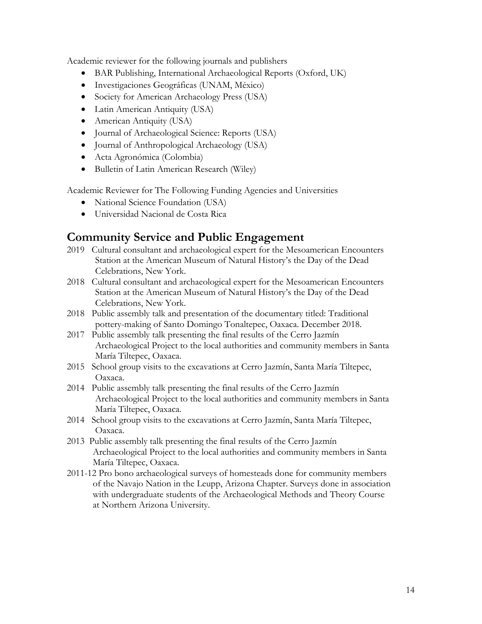Academic reviewer for the following journals and publishers

- BAR Publishing, International Archaeological Reports (Oxford, UK)
- Investigaciones Geográficas (UNAM, México)
- Society for American Archaeology Press (USA)
- Latin American Antiquity (USA)
- American Antiquity (USA)
- Journal of Archaeological Science: Reports (USA)
- Journal of Anthropological Archaeology (USA)
- Acta Agronómica (Colombia)
- Bulletin of Latin American Research (Wiley)

Academic Reviewer for The Following Funding Agencies and Universities

- National Science Foundation (USA)
- Universidad Nacional de Costa Rica

### **Community Service and Public Engagement**

- 2019 Cultural consultant and archaeological expert for the Mesoamerican Encounters Station at the American Museum of Natural History's the Day of the Dead Celebrations, New York.
- 2018 Cultural consultant and archaeological expert for the Mesoamerican Encounters Station at the American Museum of Natural History's the Day of the Dead Celebrations, New York.
- 2018 Public assembly talk and presentation of the documentary titled: Traditional pottery-making of Santo Domingo Tonaltepec, Oaxaca. December 2018.
- 2017 Public assembly talk presenting the final results of the Cerro Jazmín Archaeological Project to the local authorities and community members in Santa María Tiltepec, Oaxaca.
- 2015 School group visits to the excavations at Cerro Jazmín, Santa María Tiltepec, Oaxaca.
- 2014 Public assembly talk presenting the final results of the Cerro Jazmín Archaeological Project to the local authorities and community members in Santa María Tiltepec, Oaxaca.
- 2014 School group visits to the excavations at Cerro Jazmín, Santa María Tiltepec, Oaxaca.
- 2013 Public assembly talk presenting the final results of the Cerro Jazmín Archaeological Project to the local authorities and community members in Santa María Tiltepec, Oaxaca.
- 2011-12 Pro bono archaeological surveys of homesteads done for community members of the Navajo Nation in the Leupp, Arizona Chapter. Surveys done in association with undergraduate students of the Archaeological Methods and Theory Course at Northern Arizona University.